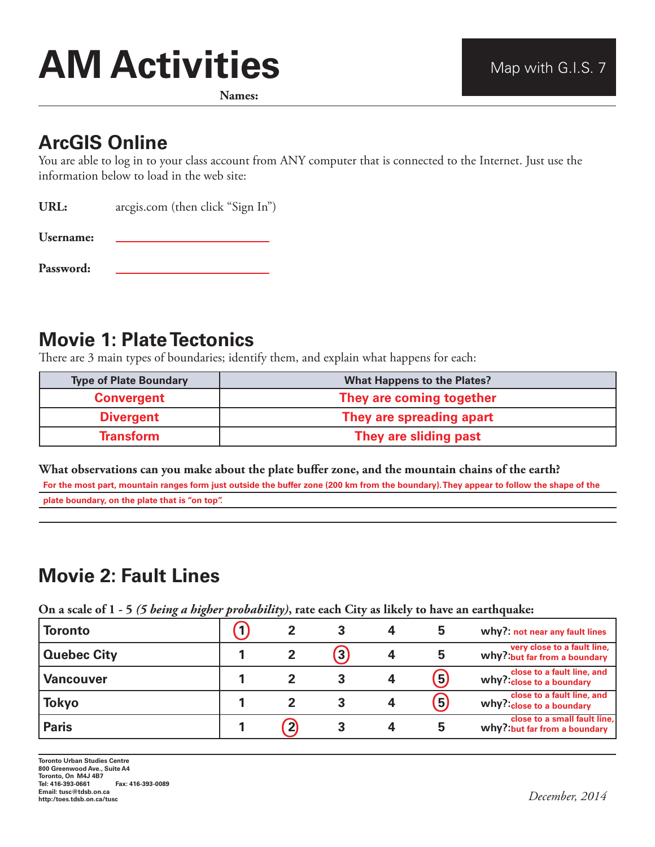# **AM Activities** Map with G.I.S. 7

**Names:**

## **ArcGIS Online**

You are able to log in to your class account from ANY computer that is connected to the Internet. Just use the information below to load in the web site:

URL: arcgis.com (then click "Sign In")

**Username:** 

**Password:** 

# **Movie 1: Plate Tectonics**

There are 3 main types of boundaries; identify them, and explain what happens for each:

| <b>Type of Plate Boundary</b> | <b>What Happens to the Plates?</b> |
|-------------------------------|------------------------------------|
| <b>Convergent</b>             | They are coming together           |
| <b>Divergent</b>              | They are spreading apart           |
| <b>Transform</b>              | They are sliding past              |

#### **What observations can you make about the plate buffer zone, and the mountain chains of the earth?**

**For the most part, mountain ranges form just outside the buffer zone (200 km from the boundary). They appear to follow the shape of the plate boundary, on the plate that is "on top".**

# **Movie 2: Fault Lines**

**On a scale of 1 - 5** *(5 being a higher probability)***, rate each City as likely to have an earthquake:**

| <b>Toronto</b>     |  |              | 5                 | why?: not near any fault lines                               |
|--------------------|--|--------------|-------------------|--------------------------------------------------------------|
| <b>Quebec City</b> |  | $\mathbf{3}$ | 5                 | very close to a fault line,<br>why? but far from a boundary  |
| <b>Vancouver</b>   |  |              | $\left( 5\right)$ | close to a fault line, and<br>why? close to a boundary       |
| <b>Tokyo</b>       |  |              | $\left(5\right)$  | close to a fault line, and<br>why? close to a boundary       |
| <b>Paris</b>       |  |              | 5                 | close to a small fault line,<br>why? but far from a boundary |

**http:/toes.tdsb.on.ca/tusc** *December, 2014*